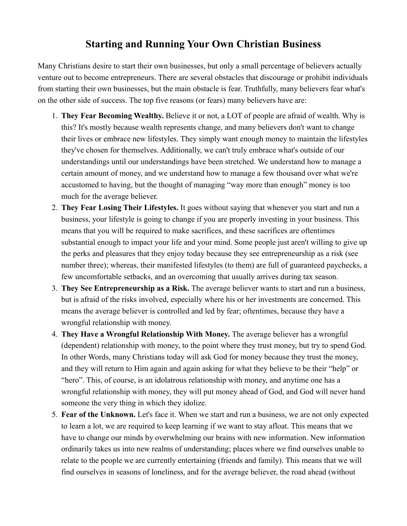## **Starting and Running Your Own Christian Business**

Many Christians desire to start their own businesses, but only a small percentage of believers actually venture out to become entrepreneurs. There are several obstacles that discourage or prohibit individuals from starting their own businesses, but the main obstacle is fear. Truthfully, many believers fear what's on the other side of success. The top five reasons (or fears) many believers have are:

- 1. **They Fear Becoming Wealthy.** Believe it or not, a LOT of people are afraid of wealth. Why is this? It's mostly because wealth represents change, and many believers don't want to change their lives or embrace new lifestyles. They simply want enough money to maintain the lifestyles they've chosen for themselves. Additionally, we can't truly embrace what's outside of our understandings until our understandings have been stretched. We understand how to manage a certain amount of money, and we understand how to manage a few thousand over what we're accustomed to having, but the thought of managing "way more than enough" money is too much for the average believer.
- 2. **They Fear Losing Their Lifestyles.** It goes without saying that whenever you start and run a business, your lifestyle is going to change if you are properly investing in your business. This means that you will be required to make sacrifices, and these sacrifices are oftentimes substantial enough to impact your life and your mind. Some people just aren't willing to give up the perks and pleasures that they enjoy today because they see entrepreneurship as a risk (see number three); whereas, their manifested lifestyles (to them) are full of guaranteed paychecks, a few uncomfortable setbacks, and an overcoming that usually arrives during tax season.
- 3. **They See Entrepreneurship as a Risk.** The average believer wants to start and run a business, but is afraid of the risks involved, especially where his or her investments are concerned. This means the average believer is controlled and led by fear; oftentimes, because they have a wrongful relationship with money.
- 4. **They Have a Wrongful Relationship With Money.** The average believer has a wrongful (dependent) relationship with money, to the point where they trust money, but try to spend God. In other Words, many Christians today will ask God for money because they trust the money, and they will return to Him again and again asking for what they believe to be their "help" or "hero". This, of course, is an idolatrous relationship with money, and anytime one has a wrongful relationship with money, they will put money ahead of God, and God will never hand someone the very thing in which they idolize.
- 5. **Fear of the Unknown.** Let's face it. When we start and run a business, we are not only expected to learn a lot, we are required to keep learning if we want to stay afloat. This means that we have to change our minds by overwhelming our brains with new information. New information ordinarily takes us into new realms of understanding; places where we find ourselves unable to relate to the people we are currently entertaining (friends and family). This means that we will find ourselves in seasons of loneliness, and for the average believer, the road ahead (without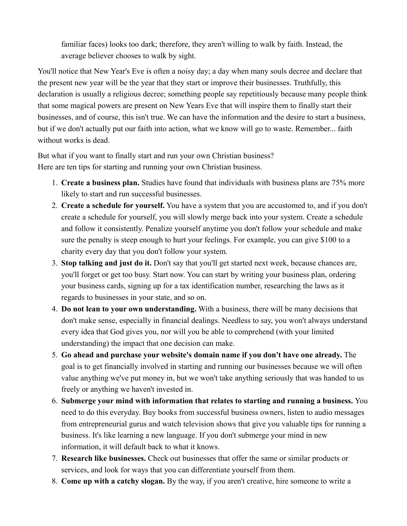familiar faces) looks too dark; therefore, they aren't willing to walk by faith. Instead, the average believer chooses to walk by sight.

You'll notice that New Year's Eve is often a noisy day; a day when many souls decree and declare that the present new year will be the year that they start or improve their businesses. Truthfully, this declaration is usually a religious decree; something people say repetitiously because many people think that some magical powers are present on New Years Eve that will inspire them to finally start their businesses, and of course, this isn't true. We can have the information and the desire to start a business, but if we don't actually put our faith into action, what we know will go to waste. Remember... faith without works is dead.

But what if you want to finally start and run your own Christian business? Here are ten tips for starting and running your own Christian business.

- 1. **Create a business plan.** Studies have found that individuals with business plans are 75% more likely to start and run successful businesses.
- 2. **Create a schedule for yourself.** You have a system that you are accustomed to, and if you don't create a schedule for yourself, you will slowly merge back into your system. Create a schedule and follow it consistently. Penalize yourself anytime you don't follow your schedule and make sure the penalty is steep enough to hurt your feelings. For example, you can give \$100 to a charity every day that you don't follow your system.
- 3. **Stop talking and just do it.** Don't say that you'll get started next week, because chances are, you'll forget or get too busy. Start now. You can start by writing your business plan, ordering your business cards, signing up for a tax identification number, researching the laws as it regards to businesses in your state, and so on.
- 4. **Do not lean to your own understanding.** With a business, there will be many decisions that don't make sense, especially in financial dealings. Needless to say, you won't always understand every idea that God gives you, nor will you be able to comprehend (with your limited understanding) the impact that one decision can make.
- 5. **Go ahead and purchase your website's domain name if you don't have one already.** The goal is to get financially involved in starting and running our businesses because we will often value anything we've put money in, but we won't take anything seriously that was handed to us freely or anything we haven't invested in.
- 6. **Submerge your mind with information that relates to starting and running a business.** You need to do this everyday. Buy books from successful business owners, listen to audio messages from entrepreneurial gurus and watch television shows that give you valuable tips for running a business. It's like learning a new language. If you don't submerge your mind in new information, it will default back to what it knows.
- 7. **Research like businesses.** Check out businesses that offer the same or similar products or services, and look for ways that you can differentiate yourself from them.
- 8. **Come up with a catchy slogan.** By the way, if you aren't creative, hire someone to write a